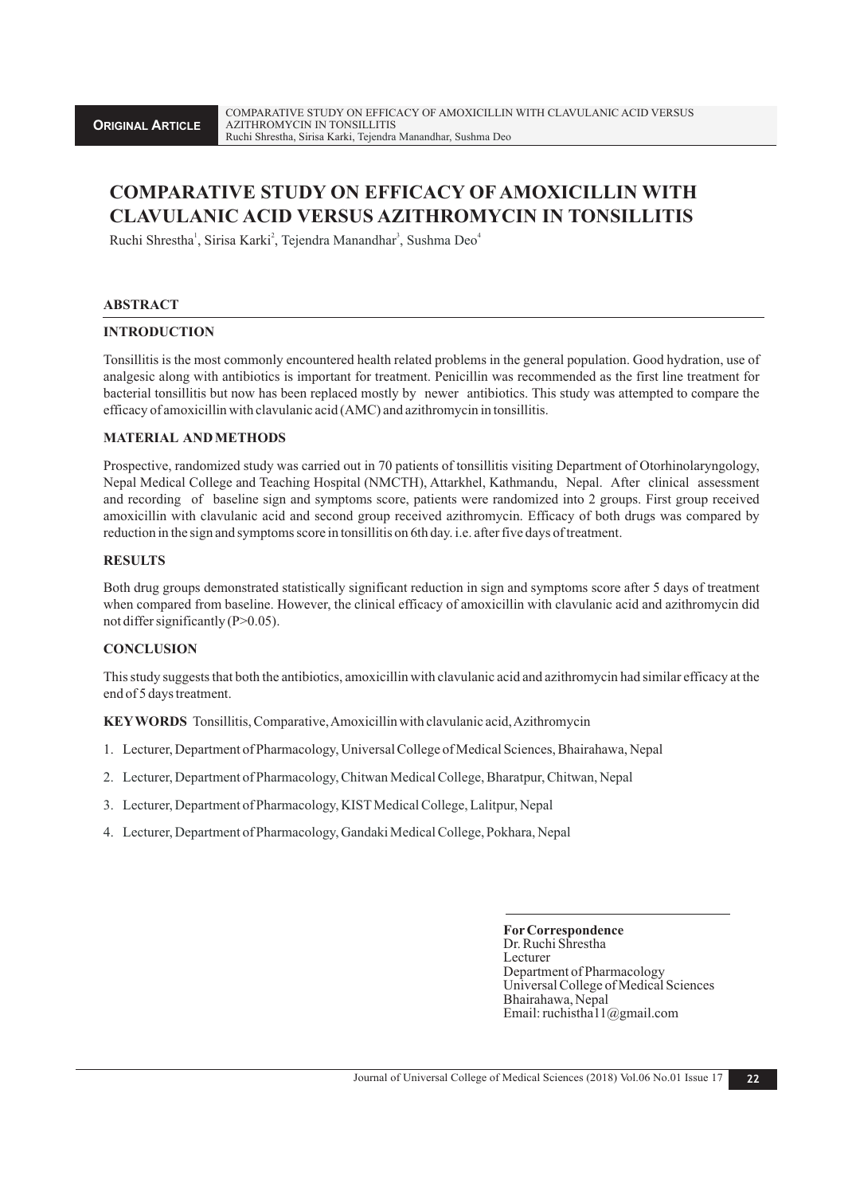# **COMPARATIVE STUDY ON EFFICACY OF AMOXICILLIN WITH CLAVULANIC ACID VERSUS AZITHROMYCIN IN TONSILLITIS**

Ruchi Shrestha<sup>1</sup>, Sirisa Karki<sup>2</sup>, Tejendra Manandhar<sup>3</sup>, Sushma Deo<sup>4</sup>

#### **ABSTRACT**

#### **INTRODUCTION**

Tonsillitis is the most commonly encountered health related problems in the general population. Good hydration, use of analgesic along with antibiotics is important for treatment. Penicillin was recommended as the first line treatment for bacterial tonsillitis but now has been replaced mostly by newer antibiotics. This study was attempted to compare the efficacy of amoxicillin with clavulanic acid (AMC) and azithromycin in tonsillitis.

#### **MATERIAL AND METHODS**

Prospective, randomized study was carried out in 70 patients of tonsillitis visiting Department of Otorhinolaryngology, Nepal Medical College and Teaching Hospital (NMCTH), Attarkhel, Kathmandu, Nepal. After clinical assessment and recording of baseline sign and symptoms score, patients were randomized into 2 groups. First group received amoxicillin with clavulanic acid and second group received azithromycin. Efficacy of both drugs was compared by reduction in the sign and symptoms score in tonsillitis on 6th day. i.e. after five days of treatment.

#### **RESULTS**

Both drug groups demonstrated statistically significant reduction in sign and symptoms score after 5 days of treatment when compared from baseline. However, the clinical efficacy of amoxicillin with clavulanic acid and azithromycin did not differ significantly (P>0.05).

## **CONCLUSION**

This study suggests that both the antibiotics, amoxicillin with clavulanic acid and azithromycin had similar efficacy at the end of 5 days treatment.

**KEYWORDS** Tonsillitis, Comparative, Amoxicillin with clavulanic acid, Azithromycin

- 1. Lecturer, Department of Pharmacology, Universal College of Medical Sciences, Bhairahawa, Nepal
- 2. Lecturer, Department of Pharmacology, Chitwan Medical College, Bharatpur, Chitwan, Nepal
- 3. Lecturer, Department of Pharmacology, KIST Medical College, Lalitpur, Nepal
- 4. Lecturer, Department of Pharmacology, Gandaki Medical College, Pokhara, Nepal

**ForCorrespondence**  Dr. Ruchi Shrestha Lecturer Department of Pharmacology Universal College of Medical Sciences Bhairahawa, Nepal Email: ruchistha11@gmail.com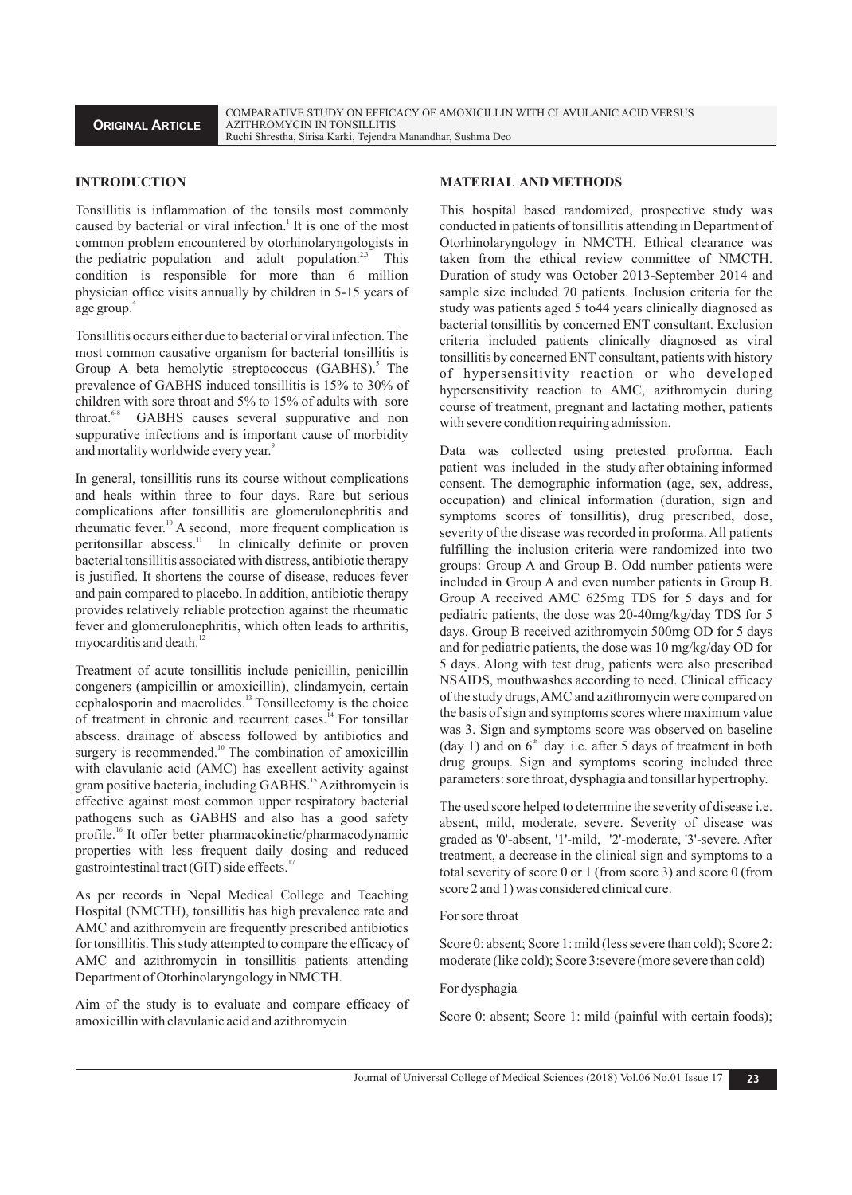#### **INTRODUCTION**

Tonsillitis is inflammation of the tonsils most commonly caused by bacterial or viral infection.<sup>1</sup> It is one of the most common problem encountered by otorhinolaryngologists in the pediatric population and adult population.<sup>2,3</sup> This condition is responsible for more than 6 million physician office visits annually by children in 5-15 years of age group.<sup>4</sup>

Tonsillitis occurs either due to bacterial or viral infection. The most common causative organism for bacterial tonsillitis is Group A beta hemolytic streptococcus (GABHS).<sup>5</sup> The prevalence of GABHS induced tonsillitis is 15% to 30% of children with sore throat and 5% to 15% of adults with sore throat.<sup>6-8</sup> GABHS causes several suppurative and non suppurative infections and is important cause of morbidity and mortality worldwide every year.<sup>9</sup>

In general, tonsillitis runs its course without complications and heals within three to four days. Rare but serious complications after tonsillitis are glomerulonephritis and rheumatic fever.<sup>10</sup> A second, more frequent complication is peritonsillar abscess.<sup>11</sup> In clinically definite or proven bacterial tonsillitis associated with distress, antibiotic therapy is justified. It shortens the course of disease, reduces fever and pain compared to placebo. In addition, antibiotic therapy provides relatively reliable protection against the rheumatic fever and glomerulonephritis, which often leads to arthritis, myocarditis and death. $^{12}$ 

Treatment of acute tonsillitis include penicillin, penicillin congeners (ampicillin or amoxicillin), clindamycin, certain cephalosporin and macrolides.<sup>13</sup> Tonsillectomy is the choice of treatment in chronic and recurrent cases.<sup>14</sup> For tonsillar abscess, drainage of abscess followed by antibiotics and surgery is recommended.<sup>10</sup> The combination of amoxicillin with clavulanic acid (AMC) has excellent activity against gram positive bacteria, including GABHS.<sup>15</sup> Azithromycin is effective against most common upper respiratory bacterial pathogens such as GABHS and also has a good safety profile.<sup>16</sup> It offer better pharmacokinetic/pharmacodynamic properties with less frequent daily dosing and reduced gastrointestinal tract (GIT) side effects. $17$ 

As per records in Nepal Medical College and Teaching Hospital (NMCTH), tonsillitis has high prevalence rate and AMC and azithromycin are frequently prescribed antibiotics for tonsillitis. This study attempted to compare the efficacy of AMC and azithromycin in tonsillitis patients attending Department of Otorhinolaryngology in NMCTH.

Aim of the study is to evaluate and compare efficacy of amoxicillin with clavulanic acid and azithromycin

#### **MATERIAL AND METHODS**

This hospital based randomized, prospective study was conducted in patients of tonsillitis attending in Department of Otorhinolaryngology in NMCTH. Ethical clearance was taken from the ethical review committee of NMCTH. Duration of study was October 2013-September 2014 and sample size included 70 patients. Inclusion criteria for the study was patients aged 5 to44 years clinically diagnosed as bacterial tonsillitis by concerned ENT consultant. Exclusion criteria included patients clinically diagnosed as viral tonsillitis by concerned ENT consultant, patients with history of hypersensitivity reaction or who developed hypersensitivity reaction to AMC, azithromycin during course of treatment, pregnant and lactating mother, patients with severe condition requiring admission.

Data was collected using pretested proforma. Each patient was included in the study after obtaining informed consent. The demographic information (age, sex, address, occupation) and clinical information (duration, sign and symptoms scores of tonsillitis), drug prescribed, dose, severity of the disease was recorded in proforma. All patients fulfilling the inclusion criteria were randomized into two groups: Group A and Group B. Odd number patients were included in Group A and even number patients in Group B. Group A received AMC 625mg TDS for 5 days and for pediatric patients, the dose was 20-40mg/kg/day TDS for 5 days. Group B received azithromycin 500mg OD for 5 days and for pediatric patients, the dose was 10 mg/kg/day OD for 5 days. Along with test drug, patients were also prescribed NSAIDS, mouthwashes according to need. Clinical efficacy of the study drugs, AMC and azithromycin were compared on the basis of sign and symptoms scores where maximum value was 3. Sign and symptoms score was observed on baseline  $(\text{day 1})$  and on  $6^{\text{th}}$  day. i.e. after 5 days of treatment in both drug groups. Sign and symptoms scoring included three parameters: sore throat, dysphagia and tonsillar hypertrophy.

The used score helped to determine the severity of disease i.e. absent, mild, moderate, severe. Severity of disease was graded as '0'-absent, '1'-mild, '2'-moderate, '3'-severe. After treatment, a decrease in the clinical sign and symptoms to a total severity of score 0 or 1 (from score 3) and score 0 (from score 2 and 1) was considered clinical cure.

#### For sore throat

Score 0: absent; Score 1: mild (less severe than cold); Score 2: moderate (like cold); Score 3:severe (more severe than cold)

#### For dysphagia

Score 0: absent; Score 1: mild (painful with certain foods);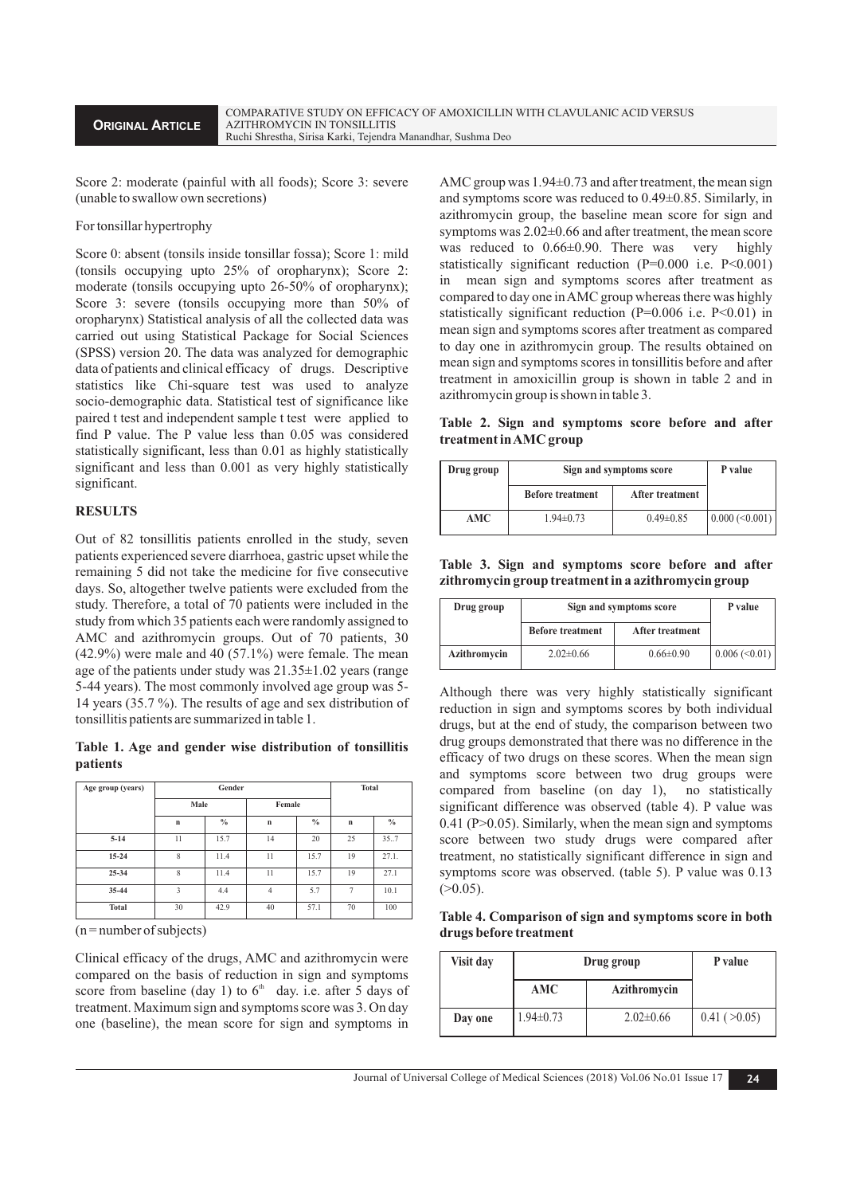Score 2: moderate (painful with all foods); Score 3: severe (unable to swallow own secretions)

#### For tonsillar hypertrophy

Score 0: absent (tonsils inside tonsillar fossa); Score 1: mild (tonsils occupying upto 25% of oropharynx); Score 2: moderate (tonsils occupying upto 26-50% of oropharynx); Score 3: severe (tonsils occupying more than 50% of oropharynx) Statistical analysis of all the collected data was carried out using Statistical Package for Social Sciences (SPSS) version 20. The data was analyzed for demographic data of patients and clinical efficacy of drugs. Descriptive statistics like Chi-square test was used to analyze socio-demographic data. Statistical test of significance like paired t test and independent sample t test were applied to find P value. The P value less than 0.05 was considered statistically significant, less than 0.01 as highly statistically significant and less than 0.001 as very highly statistically significant.

### **RESULTS**

Out of 82 tonsillitis patients enrolled in the study, seven patients experienced severe diarrhoea, gastric upset while the remaining 5 did not take the medicine for five consecutive days. So, altogether twelve patients were excluded from the study. Therefore, a total of 70 patients were included in the study from which 35 patients each were randomly assigned to AMC and azithromycin groups. Out of 70 patients, 30 (42.9%) were male and 40 (57.1%) were female. The mean age of the patients under study was 21.35±1.02 years (range 5-44 years). The most commonly involved age group was 5- 14 years (35.7 %). The results of age and sex distribution of tonsillitis patients are summarized in table 1.

#### **Table 1. Age and gender wise distribution of tonsillitis patients**

| Age group (years) | Gender      |               |                | <b>Total</b> |             |       |
|-------------------|-------------|---------------|----------------|--------------|-------------|-------|
|                   | Male        |               | Female         |              |             |       |
|                   | $\mathbf n$ | $\frac{0}{0}$ | $\mathbf n$    | $\%$         | $\mathbf n$ | $\%$  |
| $5 - 14$          | 11          | 15.7          | 14             | 20           | 25          | 35.7  |
| $15 - 24$         | 8           | 11.4          | 11             | 15.7         | 19          | 27.1. |
| $25 - 34$         | 8           | 11.4          | 11             | 15.7         | 19          | 27.1  |
| $35 - 44$         | 3           | 4.4           | $\overline{4}$ | 5.7          | 7           | 10.1  |
| <b>Total</b>      | 30          | 42.9          | 40             | 57.1         | 70          | 100   |

 $(n = number of subjects)$ 

Clinical efficacy of the drugs, AMC and azithromycin were compared on the basis of reduction in sign and symptoms score from baseline (day 1) to  $6<sup>th</sup>$  day. i.e. after 5 days of treatment. Maximum sign and symptoms score was 3. On day one (baseline), the mean score for sign and symptoms in

AMC group was 1.94±0.73 and after treatment, the mean sign and symptoms score was reduced to 0.49±0.85. Similarly, in azithromycin group, the baseline mean score for sign and symptoms was 2.02±0.66 and after treatment, the mean score was reduced to  $0.66\pm0.90$ . There was very highly statistically significant reduction  $(P=0.000$  i.e.  $P<0.001$ ) in mean sign and symptoms scores after treatment as compared to day one in AMC group whereas there was highly statistically significant reduction  $(P=0.006$  i.e.  $P<0.01$ ) in mean sign and symptoms scores after treatment as compared to day one in azithromycin group. The results obtained on mean sign and symptoms scores in tonsillitis before and after treatment in amoxicillin group is shown in table 2 and in azithromycin group is shown in table 3.

## **Table 2. Sign and symptoms score before and after treatment in AMC group**

| Drug group | Sign and symptoms score | P value         |                   |
|------------|-------------------------|-----------------|-------------------|
|            | <b>Before treatment</b> | After treatment |                   |
| AMC        | $1.94 \pm 0.73$         | $0.49 \pm 0.85$ | $0.000 \le 0.001$ |

**Table 3. Sign and symptoms score before and after zithromycin group treatment in a azithromycin group** 

| Drug group   | Sign and symptoms score | P value         |                      |
|--------------|-------------------------|-----------------|----------------------|
|              | <b>Before treatment</b> | After treatment |                      |
| Azithromycin | $2.02 \pm 0.66$         | $0.66 \pm 0.90$ | $0.006 \approx 0.01$ |

Although there was very highly statistically significant reduction in sign and symptoms scores by both individual drugs, but at the end of study, the comparison between two drug groups demonstrated that there was no difference in the efficacy of two drugs on these scores. When the mean sign and symptoms score between two drug groups were compared from baseline (on day 1), no statistically significant difference was observed (table 4). P value was 0.41 (P>0.05). Similarly, when the mean sign and symptoms score between two study drugs were compared after treatment, no statistically significant difference in sign and symptoms score was observed. (table 5). P value was 0.13  $(>0.05)$ .

**Table 4. Comparison of sign and symptoms score in both drugs before treatment**

| Visit day | Drug group      | P value         |              |
|-----------|-----------------|-----------------|--------------|
|           | <b>AMC</b>      | Azithromycin    |              |
| Day one   | $1.94 \pm 0.73$ | $2.02 \pm 0.66$ | 0.41 (>0.05) |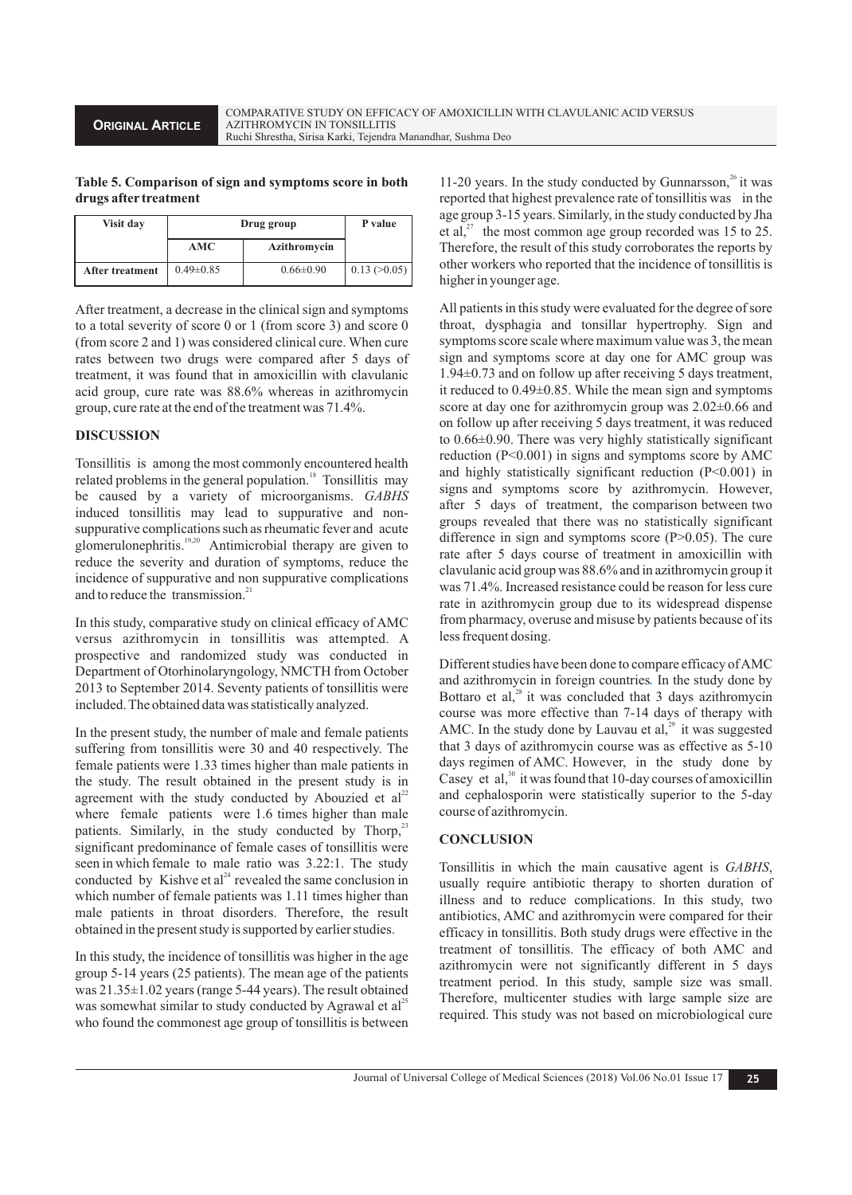## **Table 5. Comparison of sign and symptoms score in both drugs after treatment**

| Visit day       | Drug group      | P value         |              |
|-----------------|-----------------|-----------------|--------------|
|                 | AMC             | Azithromycin    |              |
| After treatment | $0.49 \pm 0.85$ | $0.66 \pm 0.90$ | 0.13 (>0.05) |

After treatment, a decrease in the clinical sign and symptoms to a total severity of score 0 or 1 (from score 3) and score 0 (from score 2 and 1) was considered clinical cure. When cure rates between two drugs were compared after 5 days of treatment, it was found that in amoxicillin with clavulanic acid group, cure rate was 88.6% whereas in azithromycin group, cure rate at the end of the treatment was 71.4%.

# **DISCUSSION**

Tonsillitis is among the most commonly encountered health related problems in the general population.<sup>18</sup> Tonsillitis may be caused by a variety of microorganisms. *GABHS*  induced tonsillitis may lead to suppurative and nonsuppurative complications such as rheumatic fever and acute  $19,20$  glomerulonephritis.<sup>19,20</sup> Antimicrobial therapy are given to reduce the severity and duration of symptoms, reduce the incidence of suppurative and non suppurative complications and to reduce the transmission. $21$ 

In this study, comparative study on clinical efficacy of AMC versus azithromycin in tonsillitis was attempted. A prospective and randomized study was conducted in Department of Otorhinolaryngology, NMCTH from October 2013 to September 2014. Seventy patients of tonsillitis were included. The obtained data was statistically analyzed.

In the present study, the number of male and female patients suffering from tonsillitis were 30 and 40 respectively. The female patients were 1.33 times higher than male patients in the study. The result obtained in the present study is in agreement with the study conducted by Abouzied et  $al<sup>22</sup>$ where female patients were 1.6 times higher than male patients. Similarly, in the study conducted by Thorp, $23$ significant predominance of female cases of tonsillitis were seen in which female to male ratio was 3.22:1. The study conducted by Kishve et al<sup>24</sup> revealed the same conclusion in which number of female patients was 1.11 times higher than male patients in throat disorders. Therefore, the result obtained in the present study is supported by earlier studies.

In this study, the incidence of tonsillitis was higher in the age group 5-14 years (25 patients). The mean age of the patients was 21.35±1.02 years (range 5-44 years). The result obtained was somewhat similar to study conducted by Agrawal et  $al<sup>25</sup>$ who found the commonest age group of tonsillitis is between

11-20 years. In the study conducted by Gunnarsson, $^{26}$  it was reported that highest prevalence rate of tonsillitis was in the age group 3-15 years. Similarly, in the study conducted by Jha et al, $^{27}$  the most common age group recorded was 15 to 25. Therefore, the result of this study corroborates the reports by other workers who reported that the incidence of tonsillitis is higher in younger age.

All patients in this study were evaluated for the degree of sore throat, dysphagia and tonsillar hypertrophy. Sign and symptoms score scale where maximum value was 3, the mean sign and symptoms score at day one for AMC group was 1.94±0.73 and on follow up after receiving 5 days treatment, it reduced to 0.49±0.85. While the mean sign and symptoms score at day one for azithromycin group was  $2.02\pm0.66$  and on follow up after receiving 5 days treatment, it was reduced to 0.66±0.90. There was very highly statistically significant reduction (P<0.001) in signs and symptoms score by AMC and highly statistically significant reduction (P<0.001) in signs and symptoms score by azithromycin. However, after 5 days of treatment, the comparison between two groups revealed that there was no statistically significant difference in sign and symptoms score  $(P>0.05)$ . The cure rate after 5 days course of treatment in amoxicillin with clavulanic acid group was 88.6% and in azithromycin group it was 71.4%. Increased resistance could be reason for less cure rate in azithromycin group due to its widespread dispense from pharmacy, overuse and misuse by patients because of its less frequent dosing.

Different studies have been done to compare efficacy of AMC and azithromycin in foreign countries. In the study done by Bottaro et al, $^{28}$  it was concluded that 3 days azithromycin course was more effective than 7-14 days of therapy with AMC. In the study done by Lauvau et al, $^{29}$  it was suggested that 3 days of azithromycin course was as effective as 5-10 days regimen of AMC. However, in the study done by Casey et al, $30$  it was found that 10-day courses of amoxicillin and cephalosporin were statistically superior to the 5-day course of azithromycin.

## **CONCLUSION**

Tonsillitis in which the main causative agent is *GABHS*, usually require antibiotic therapy to shorten duration of illness and to reduce complications. In this study, two antibiotics, AMC and azithromycin were compared for their efficacy in tonsillitis. Both study drugs were effective in the treatment of tonsillitis. The efficacy of both AMC and azithromycin were not significantly different in 5 days treatment period. In this study, sample size was small. Therefore, multicenter studies with large sample size are required. This study was not based on microbiological cure